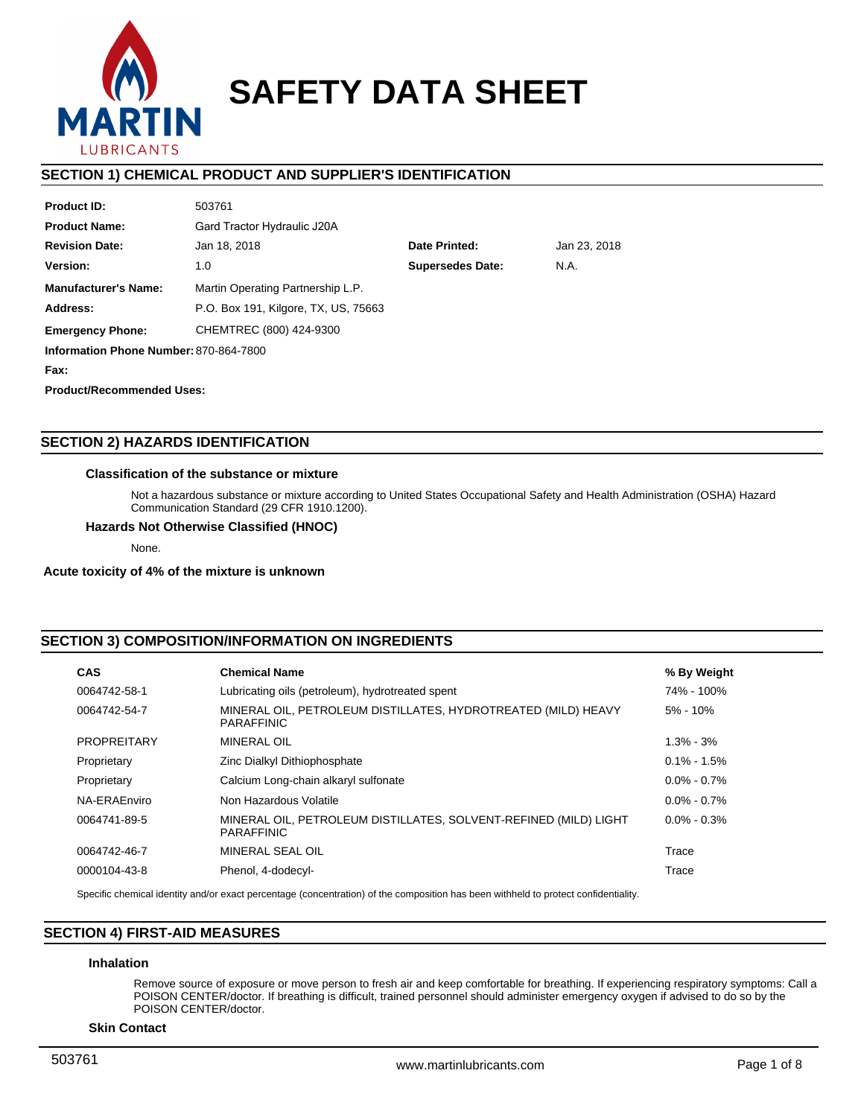

# **SAFETY DATA SHEET**

# **SECTION 1) CHEMICAL PRODUCT AND SUPPLIER'S IDENTIFICATION**

| <b>Product ID:</b>                     | 503761                                 |               |              |  |  |  |
|----------------------------------------|----------------------------------------|---------------|--------------|--|--|--|
| <b>Product Name:</b>                   | Gard Tractor Hydraulic J20A            |               |              |  |  |  |
| <b>Revision Date:</b>                  | Jan 18, 2018                           | Date Printed: | Jan 23, 2018 |  |  |  |
| Version:                               | <b>Supersedes Date:</b><br>N.A.<br>1.0 |               |              |  |  |  |
| <b>Manufacturer's Name:</b>            | Martin Operating Partnership L.P.      |               |              |  |  |  |
| Address:                               | P.O. Box 191, Kilgore, TX, US, 75663   |               |              |  |  |  |
| <b>Emergency Phone:</b>                | CHEMTREC (800) 424-9300                |               |              |  |  |  |
| Information Phone Number: 870-864-7800 |                                        |               |              |  |  |  |
| Fax:                                   |                                        |               |              |  |  |  |
| <b>Product/Recommended Uses:</b>       |                                        |               |              |  |  |  |

# **SECTION 2) HAZARDS IDENTIFICATION**

# **Classification of the substance or mixture**

Not a hazardous substance or mixture according to United States Occupational Safety and Health Administration (OSHA) Hazard Communication Standard (29 CFR 1910.1200).

# **Hazards Not Otherwise Classified (HNOC)**

None.

#### **Acute toxicity of 4% of the mixture is unknown**

# **SECTION 3) COMPOSITION/INFORMATION ON INGREDIENTS**

| <b>CAS</b>         | <b>Chemical Name</b>                                                                  | % By Weight     |
|--------------------|---------------------------------------------------------------------------------------|-----------------|
| 0064742-58-1       | Lubricating oils (petroleum), hydrotreated spent                                      | 74% - 100%      |
| 0064742-54-7       | MINERAL OIL, PETROLEUM DISTILLATES, HYDROTREATED (MILD) HEAVY<br><b>PARAFFINIC</b>    | $5\% - 10\%$    |
| <b>PROPREITARY</b> | MINERAL OIL                                                                           | $1.3\% - 3\%$   |
| Proprietary        | Zinc Dialkyl Dithiophosphate                                                          | $0.1\% - 1.5\%$ |
| Proprietary        | Calcium Long-chain alkaryl sulfonate                                                  | $0.0\% - 0.7\%$ |
| NA-ERAEnviro       | Non Hazardous Volatile                                                                | $0.0\% - 0.7\%$ |
| 0064741-89-5       | MINERAL OIL, PETROLEUM DISTILLATES, SOLVENT-REFINED (MILD) LIGHT<br><b>PARAFFINIC</b> | $0.0\% - 0.3\%$ |
| 0064742-46-7       | MINERAL SEAL OIL                                                                      | Trace           |
| 0000104-43-8       | Phenol, 4-dodecyl-                                                                    | Trace           |

Specific chemical identity and/or exact percentage (concentration) of the composition has been withheld to protect confidentiality.

# **SECTION 4) FIRST-AID MEASURES**

# **Inhalation**

Remove source of exposure or move person to fresh air and keep comfortable for breathing. If experiencing respiratory symptoms: Call a POISON CENTER/doctor. If breathing is difficult, trained personnel should administer emergency oxygen if advised to do so by the POISON CENTER/doctor.

**Skin Contact**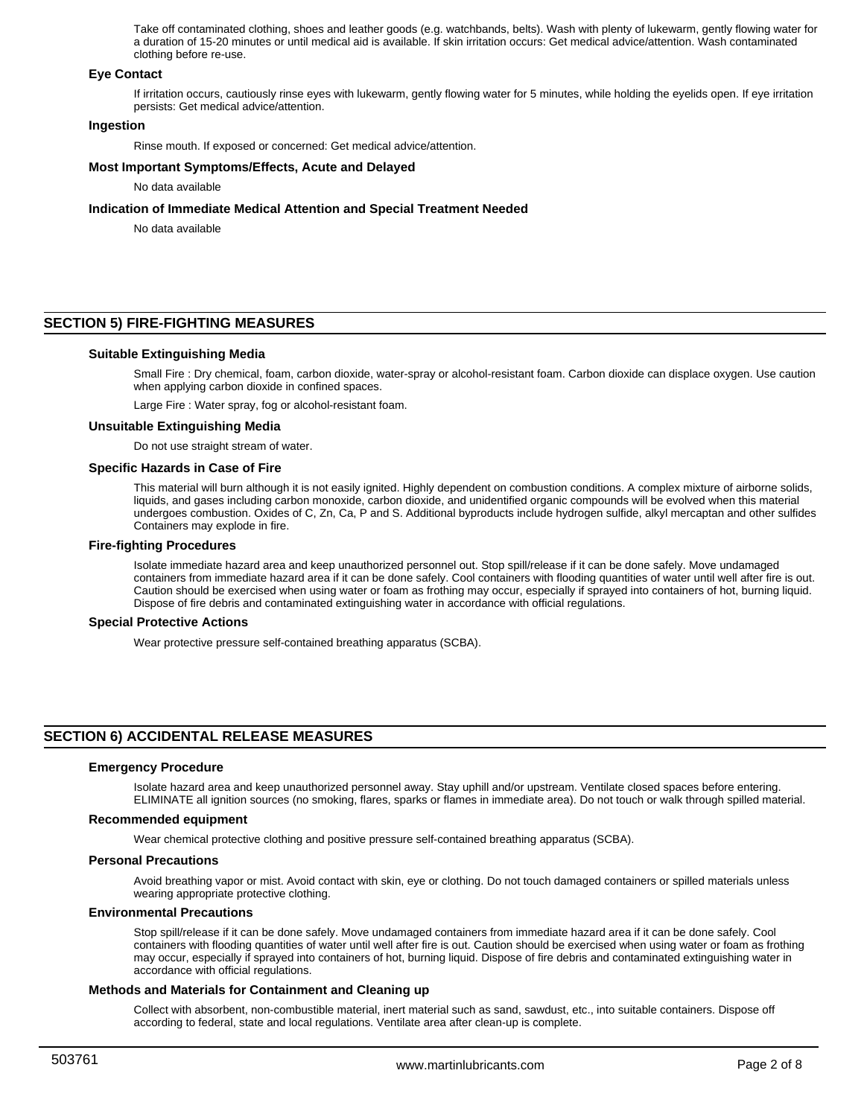Take off contaminated clothing, shoes and leather goods (e.g. watchbands, belts). Wash with plenty of lukewarm, gently flowing water for a duration of 15-20 minutes or until medical aid is available. If skin irritation occurs: Get medical advice/attention. Wash contaminated clothing before re-use.

## **Eye Contact**

If irritation occurs, cautiously rinse eyes with lukewarm, gently flowing water for 5 minutes, while holding the eyelids open. If eye irritation persists: Get medical advice/attention.

# **Ingestion**

Rinse mouth. If exposed or concerned: Get medical advice/attention.

## **Most Important Symptoms/Effects, Acute and Delayed**

No data available

# **Indication of Immediate Medical Attention and Special Treatment Needed**

No data available

# **SECTION 5) FIRE-FIGHTING MEASURES**

## **Suitable Extinguishing Media**

Small Fire : Dry chemical, foam, carbon dioxide, water-spray or alcohol-resistant foam. Carbon dioxide can displace oxygen. Use caution when applying carbon dioxide in confined spaces.

Large Fire : Water spray, fog or alcohol-resistant foam.

#### **Unsuitable Extinguishing Media**

Do not use straight stream of water.

#### **Specific Hazards in Case of Fire**

This material will burn although it is not easily ignited. Highly dependent on combustion conditions. A complex mixture of airborne solids, liquids, and gases including carbon monoxide, carbon dioxide, and unidentified organic compounds will be evolved when this material undergoes combustion. Oxides of C, Zn, Ca, P and S. Additional byproducts include hydrogen sulfide, alkyl mercaptan and other sulfides Containers may explode in fire.

#### **Fire-fighting Procedures**

Isolate immediate hazard area and keep unauthorized personnel out. Stop spill/release if it can be done safely. Move undamaged containers from immediate hazard area if it can be done safely. Cool containers with flooding quantities of water until well after fire is out. Caution should be exercised when using water or foam as frothing may occur, especially if sprayed into containers of hot, burning liquid. Dispose of fire debris and contaminated extinguishing water in accordance with official regulations.

#### **Special Protective Actions**

Wear protective pressure self-contained breathing apparatus (SCBA).

# **SECTION 6) ACCIDENTAL RELEASE MEASURES**

#### **Emergency Procedure**

Isolate hazard area and keep unauthorized personnel away. Stay uphill and/or upstream. Ventilate closed spaces before entering. ELIMINATE all ignition sources (no smoking, flares, sparks or flames in immediate area). Do not touch or walk through spilled material.

## **Recommended equipment**

Wear chemical protective clothing and positive pressure self-contained breathing apparatus (SCBA).

#### **Personal Precautions**

Avoid breathing vapor or mist. Avoid contact with skin, eye or clothing. Do not touch damaged containers or spilled materials unless wearing appropriate protective clothing.

# **Environmental Precautions**

Stop spill/release if it can be done safely. Move undamaged containers from immediate hazard area if it can be done safely. Cool containers with flooding quantities of water until well after fire is out. Caution should be exercised when using water or foam as frothing may occur, especially if sprayed into containers of hot, burning liquid. Dispose of fire debris and contaminated extinguishing water in accordance with official regulations.

#### **Methods and Materials for Containment and Cleaning up**

Collect with absorbent, non-combustible material, inert material such as sand, sawdust, etc., into suitable containers. Dispose off according to federal, state and local regulations. Ventilate area after clean-up is complete.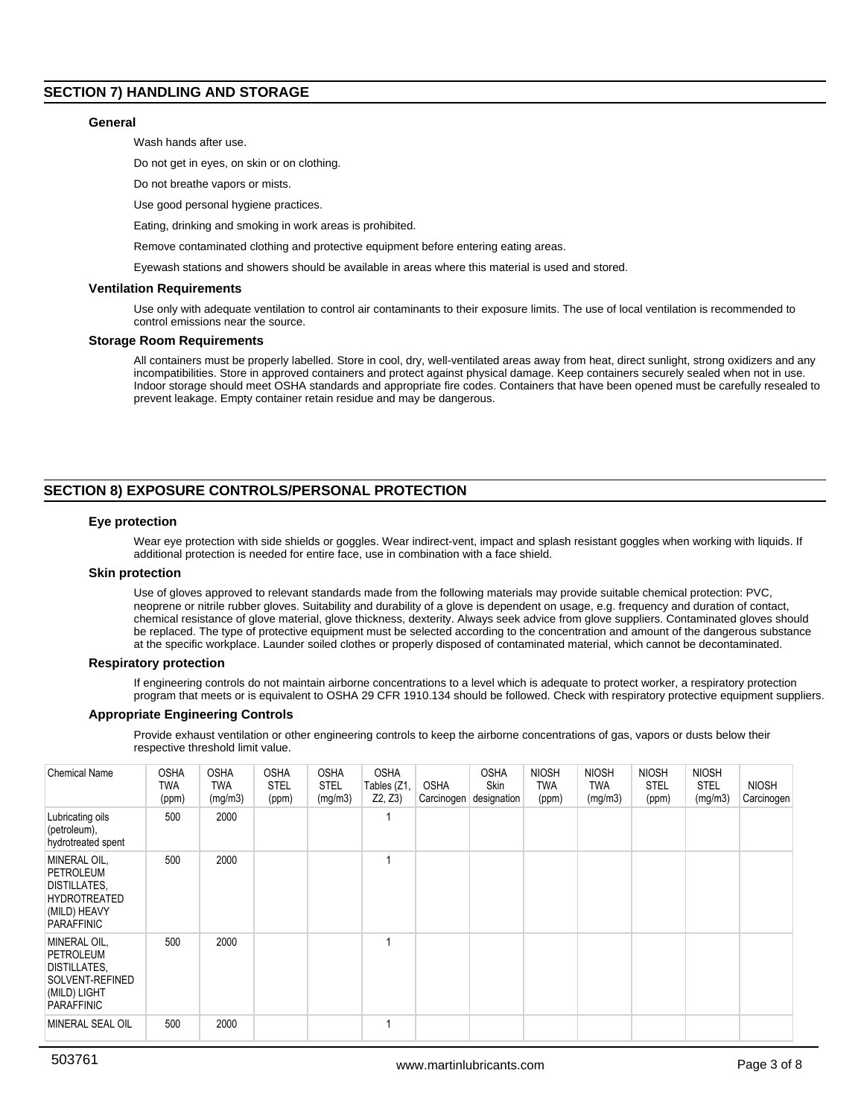# **SECTION 7) HANDLING AND STORAGE**

## **General**

Wash hands after use.

Do not get in eyes, on skin or on clothing.

Do not breathe vapors or mists.

Use good personal hygiene practices.

Eating, drinking and smoking in work areas is prohibited.

Remove contaminated clothing and protective equipment before entering eating areas.

Eyewash stations and showers should be available in areas where this material is used and stored.

#### **Ventilation Requirements**

Use only with adequate ventilation to control air contaminants to their exposure limits. The use of local ventilation is recommended to control emissions near the source.

#### **Storage Room Requirements**

All containers must be properly labelled. Store in cool, dry, well-ventilated areas away from heat, direct sunlight, strong oxidizers and any incompatibilities. Store in approved containers and protect against physical damage. Keep containers securely sealed when not in use. Indoor storage should meet OSHA standards and appropriate fire codes. Containers that have been opened must be carefully resealed to prevent leakage. Empty container retain residue and may be dangerous.

# **SECTION 8) EXPOSURE CONTROLS/PERSONAL PROTECTION**

## **Eye protection**

Wear eye protection with side shields or goggles. Wear indirect-vent, impact and splash resistant goggles when working with liquids. If additional protection is needed for entire face, use in combination with a face shield.

## **Skin protection**

Use of gloves approved to relevant standards made from the following materials may provide suitable chemical protection: PVC, neoprene or nitrile rubber gloves. Suitability and durability of a glove is dependent on usage, e.g. frequency and duration of contact, chemical resistance of glove material, glove thickness, dexterity. Always seek advice from glove suppliers. Contaminated gloves should be replaced. The type of protective equipment must be selected according to the concentration and amount of the dangerous substance at the specific workplace. Launder soiled clothes or properly disposed of contaminated material, which cannot be decontaminated.

#### **Respiratory protection**

If engineering controls do not maintain airborne concentrations to a level which is adequate to protect worker, a respiratory protection program that meets or is equivalent to OSHA 29 CFR 1910.134 should be followed. Check with respiratory protective equipment suppliers.

#### **Appropriate Engineering Controls**

Provide exhaust ventilation or other engineering controls to keep the airborne concentrations of gas, vapors or dusts below their respective threshold limit value.

| <b>Chemical Name</b>                                                                                         | <b>OSHA</b><br>TWA<br>(ppm) | <b>OSHA</b><br>TWA<br>(mg/m3) | <b>OSHA</b><br><b>STEL</b><br>(ppm) | <b>OSHA</b><br><b>STEL</b><br>(mg/m3) | <b>OSHA</b><br>Tables (Z1,<br>Z2, Z3 | <b>OSHA</b><br>Carcinogen | <b>OSHA</b><br>Skin<br>designation | <b>NIOSH</b><br><b>TWA</b><br>(ppm) | <b>NIOSH</b><br><b>TWA</b><br>(mg/m3) | <b>NIOSH</b><br>STEL<br>(ppm) | <b>NIOSH</b><br><b>STEL</b><br>(mg/m3) | <b>NIOSH</b><br>Carcinogen |
|--------------------------------------------------------------------------------------------------------------|-----------------------------|-------------------------------|-------------------------------------|---------------------------------------|--------------------------------------|---------------------------|------------------------------------|-------------------------------------|---------------------------------------|-------------------------------|----------------------------------------|----------------------------|
| Lubricating oils<br>(petroleum),<br>hydrotreated spent                                                       | 500                         | 2000                          |                                     |                                       |                                      |                           |                                    |                                     |                                       |                               |                                        |                            |
| MINERAL OIL,<br><b>PETROLEUM</b><br>DISTILLATES,<br><b>HYDROTREATED</b><br>(MILD) HEAVY<br><b>PARAFFINIC</b> | 500                         | 2000                          |                                     |                                       |                                      |                           |                                    |                                     |                                       |                               |                                        |                            |
| MINERAL OIL,<br><b>PETROLEUM</b><br>DISTILLATES,<br>SOLVENT-REFINED<br>(MILD) LIGHT<br><b>PARAFFINIC</b>     | 500                         | 2000                          |                                     |                                       |                                      |                           |                                    |                                     |                                       |                               |                                        |                            |
| <b>MINERAL SEAL OIL</b>                                                                                      | 500                         | 2000                          |                                     |                                       |                                      |                           |                                    |                                     |                                       |                               |                                        |                            |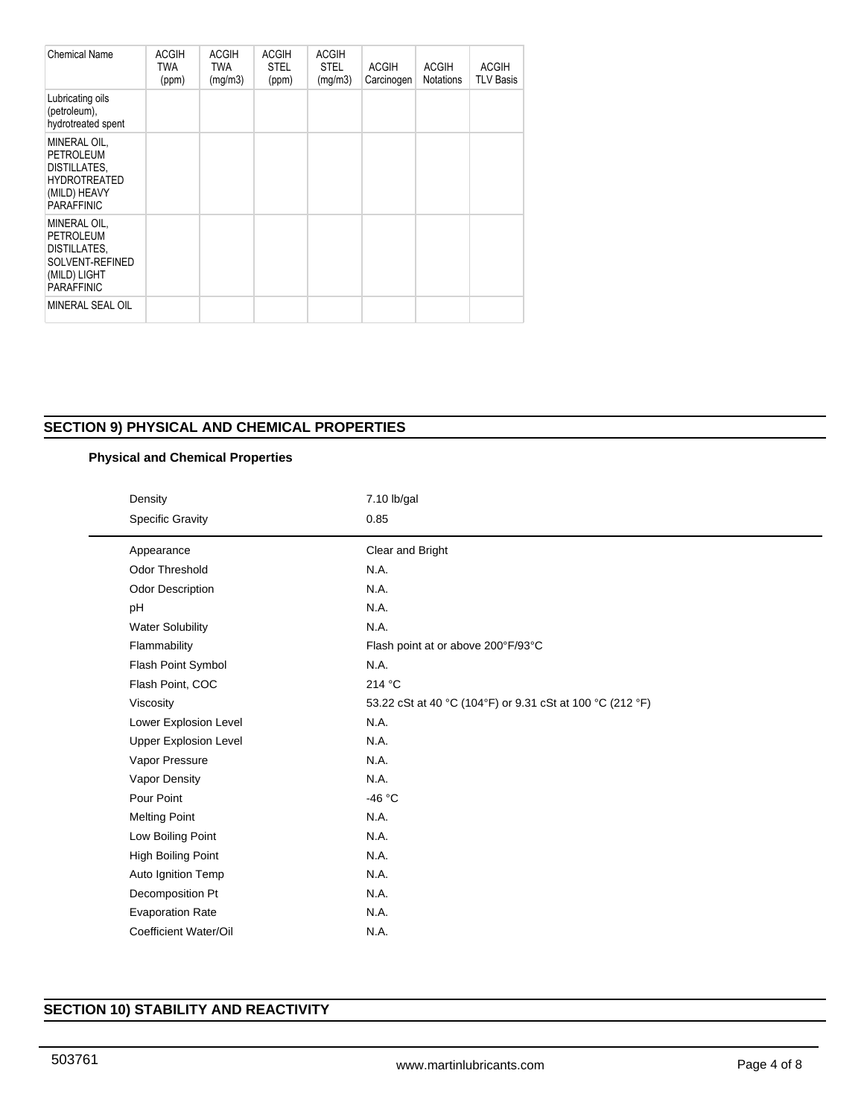| <b>Chemical Name</b>                                                                                     | <b>ACGIH</b><br><b>TWA</b><br>(ppm) | <b>ACGIH</b><br><b>TWA</b><br>(mg/m3) | <b>ACGIH</b><br><b>STEL</b><br>(ppm) | <b>ACGIH</b><br><b>STEL</b><br>(mg/m3) | <b>ACGIH</b><br>Carcinogen | <b>ACGIH</b><br><b>Notations</b> | <b>ACGIH</b><br><b>TLV Basis</b> |
|----------------------------------------------------------------------------------------------------------|-------------------------------------|---------------------------------------|--------------------------------------|----------------------------------------|----------------------------|----------------------------------|----------------------------------|
| Lubricating oils<br>(petroleum),<br>hydrotreated spent                                                   |                                     |                                       |                                      |                                        |                            |                                  |                                  |
| MINERAL OIL,<br>PETROLEUM<br>DISTILLATES,<br><b>HYDROTREATED</b><br>(MILD) HEAVY<br><b>PARAFFINIC</b>    |                                     |                                       |                                      |                                        |                            |                                  |                                  |
| MINERAL OIL,<br><b>PETROLEUM</b><br>DISTILLATES,<br>SOLVENT-REFINED<br>(MILD) LIGHT<br><b>PARAFFINIC</b> |                                     |                                       |                                      |                                        |                            |                                  |                                  |
| MINERAL SEAL OIL                                                                                         |                                     |                                       |                                      |                                        |                            |                                  |                                  |

# **SECTION 9) PHYSICAL AND CHEMICAL PROPERTIES**

# **Physical and Chemical Properties**

| Density |                              | 7.10 lb/gal                                               |  |  |  |  |
|---------|------------------------------|-----------------------------------------------------------|--|--|--|--|
|         | <b>Specific Gravity</b>      | 0.85                                                      |  |  |  |  |
|         | Appearance                   | Clear and Bright                                          |  |  |  |  |
|         | <b>Odor Threshold</b>        | N.A.                                                      |  |  |  |  |
|         | <b>Odor Description</b>      | N.A.                                                      |  |  |  |  |
|         | pH                           | N.A.                                                      |  |  |  |  |
|         | <b>Water Solubility</b>      | N.A.                                                      |  |  |  |  |
|         | Flammability                 | Flash point at or above 200°F/93°C                        |  |  |  |  |
|         | Flash Point Symbol           | N.A.                                                      |  |  |  |  |
|         | Flash Point, COC             | 214 °C                                                    |  |  |  |  |
|         | Viscosity                    | 53.22 cSt at 40 °C (104°F) or 9.31 cSt at 100 °C (212 °F) |  |  |  |  |
|         | Lower Explosion Level        | N.A.                                                      |  |  |  |  |
|         | <b>Upper Explosion Level</b> | N.A.                                                      |  |  |  |  |
|         | Vapor Pressure               | N.A.                                                      |  |  |  |  |
|         | Vapor Density                | N.A.                                                      |  |  |  |  |
|         | Pour Point                   | -46 °C                                                    |  |  |  |  |
|         | <b>Melting Point</b>         | N.A.                                                      |  |  |  |  |
|         | Low Boiling Point            | N.A.                                                      |  |  |  |  |
|         | High Boiling Point           | N.A.                                                      |  |  |  |  |
|         | Auto Ignition Temp           | N.A.                                                      |  |  |  |  |
|         | Decomposition Pt             | N.A.                                                      |  |  |  |  |
|         | <b>Evaporation Rate</b>      | N.A.                                                      |  |  |  |  |
|         | Coefficient Water/Oil        | N.A.                                                      |  |  |  |  |

# **SECTION 10) STABILITY AND REACTIVITY**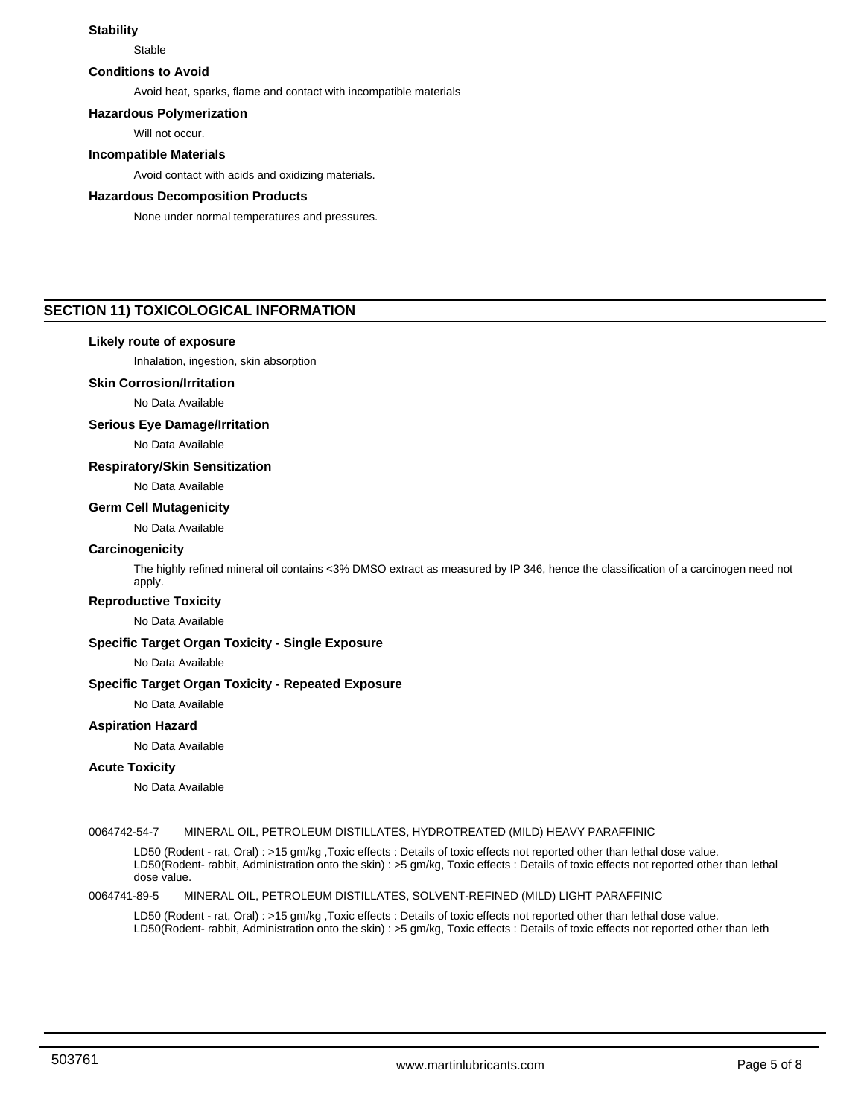# **Stability**

**Stable** 

# **Conditions to Avoid**

Avoid heat, sparks, flame and contact with incompatible materials

**Hazardous Polymerization**

Will not occur.

# **Incompatible Materials**

Avoid contact with acids and oxidizing materials.

# **Hazardous Decomposition Products**

None under normal temperatures and pressures.

# **SECTION 11) TOXICOLOGICAL INFORMATION**

# **Likely route of exposure**

Inhalation, ingestion, skin absorption

# **Skin Corrosion/Irritation**

No Data Available

## **Serious Eye Damage/Irritation**

No Data Available

# **Respiratory/Skin Sensitization**

No Data Available

# **Germ Cell Mutagenicity**

No Data Available

#### **Carcinogenicity**

The highly refined mineral oil contains <3% DMSO extract as measured by IP 346, hence the classification of a carcinogen need not apply.

# **Reproductive Toxicity**

No Data Available

# **Specific Target Organ Toxicity - Single Exposure**

No Data Available

# **Specific Target Organ Toxicity - Repeated Exposure**

No Data Available

# **Aspiration Hazard**

No Data Available

# **Acute Toxicity**

No Data Available

#### 0064742-54-7 MINERAL OIL, PETROLEUM DISTILLATES, HYDROTREATED (MILD) HEAVY PARAFFINIC

LD50 (Rodent - rat, Oral) : >15 gm/kg ,Toxic effects : Details of toxic effects not reported other than lethal dose value. LD50(Rodent- rabbit, Administration onto the skin) : >5 gm/kg, Toxic effects : Details of toxic effects not reported other than lethal dose value.

#### 0064741-89-5 MINERAL OIL, PETROLEUM DISTILLATES, SOLVENT-REFINED (MILD) LIGHT PARAFFINIC

LD50 (Rodent - rat, Oral) : >15 gm/kg ,Toxic effects : Details of toxic effects not reported other than lethal dose value. LD50(Rodent- rabbit, Administration onto the skin) : >5 gm/kg, Toxic effects : Details of toxic effects not reported other than leth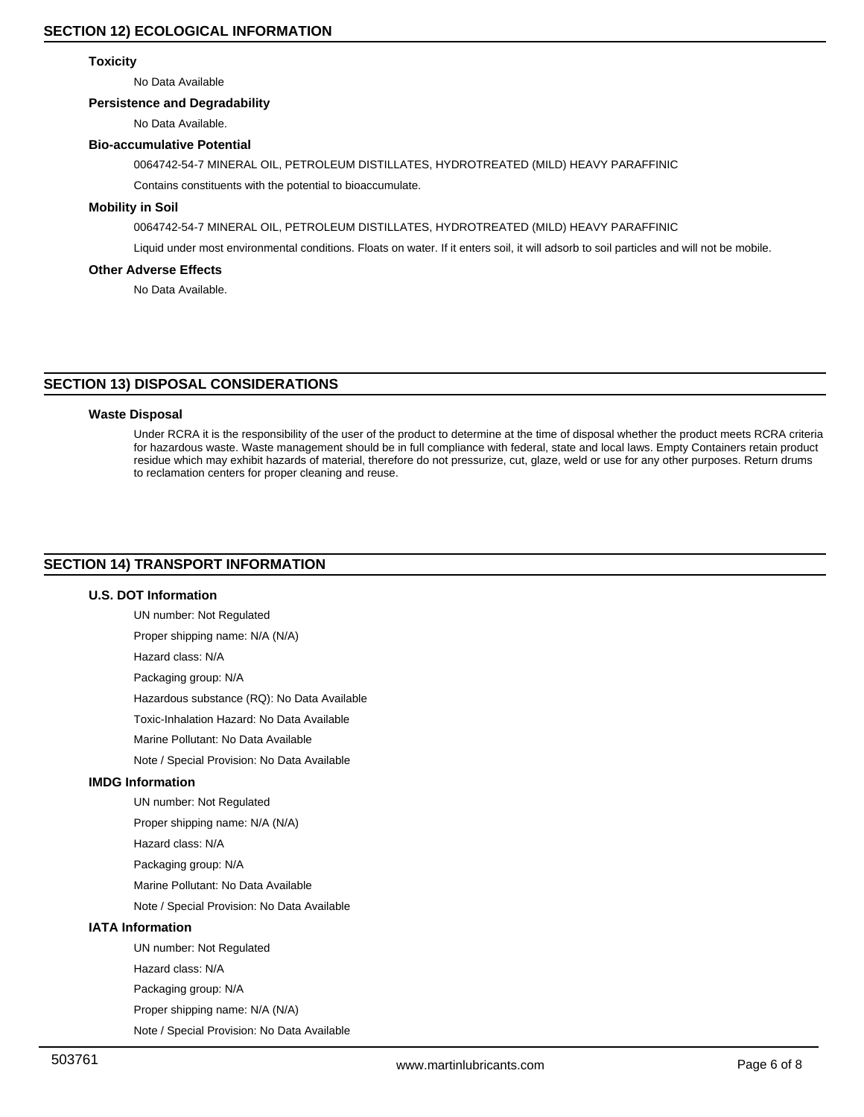# **Toxicity**

No Data Available

# **Persistence and Degradability**

No Data Available.

#### **Bio-accumulative Potential**

0064742-54-7 MINERAL OIL, PETROLEUM DISTILLATES, HYDROTREATED (MILD) HEAVY PARAFFINIC

Contains constituents with the potential to bioaccumulate.

# **Mobility in Soil**

0064742-54-7 MINERAL OIL, PETROLEUM DISTILLATES, HYDROTREATED (MILD) HEAVY PARAFFINIC

Liquid under most environmental conditions. Floats on water. If it enters soil, it will adsorb to soil particles and will not be mobile.

# **Other Adverse Effects**

No Data Available.

# **SECTION 13) DISPOSAL CONSIDERATIONS**

#### **Waste Disposal**

Under RCRA it is the responsibility of the user of the product to determine at the time of disposal whether the product meets RCRA criteria for hazardous waste. Waste management should be in full compliance with federal, state and local laws. Empty Containers retain product residue which may exhibit hazards of material, therefore do not pressurize, cut, glaze, weld or use for any other purposes. Return drums to reclamation centers for proper cleaning and reuse.

# **SECTION 14) TRANSPORT INFORMATION**

# **U.S. DOT Information**

UN number: Not Regulated

Proper shipping name: N/A (N/A)

Hazard class: N/A

Packaging group: N/A

Hazardous substance (RQ): No Data Available

Toxic-Inhalation Hazard: No Data Available

Marine Pollutant: No Data Available

Note / Special Provision: No Data Available

# **IMDG Information**

UN number: Not Regulated

Proper shipping name: N/A (N/A)

Hazard class: N/A

Packaging group: N/A

Marine Pollutant: No Data Available

Note / Special Provision: No Data Available

# **IATA Information**

UN number: Not Regulated Hazard class: N/A Packaging group: N/A Proper shipping name: N/A (N/A) Note / Special Provision: No Data Available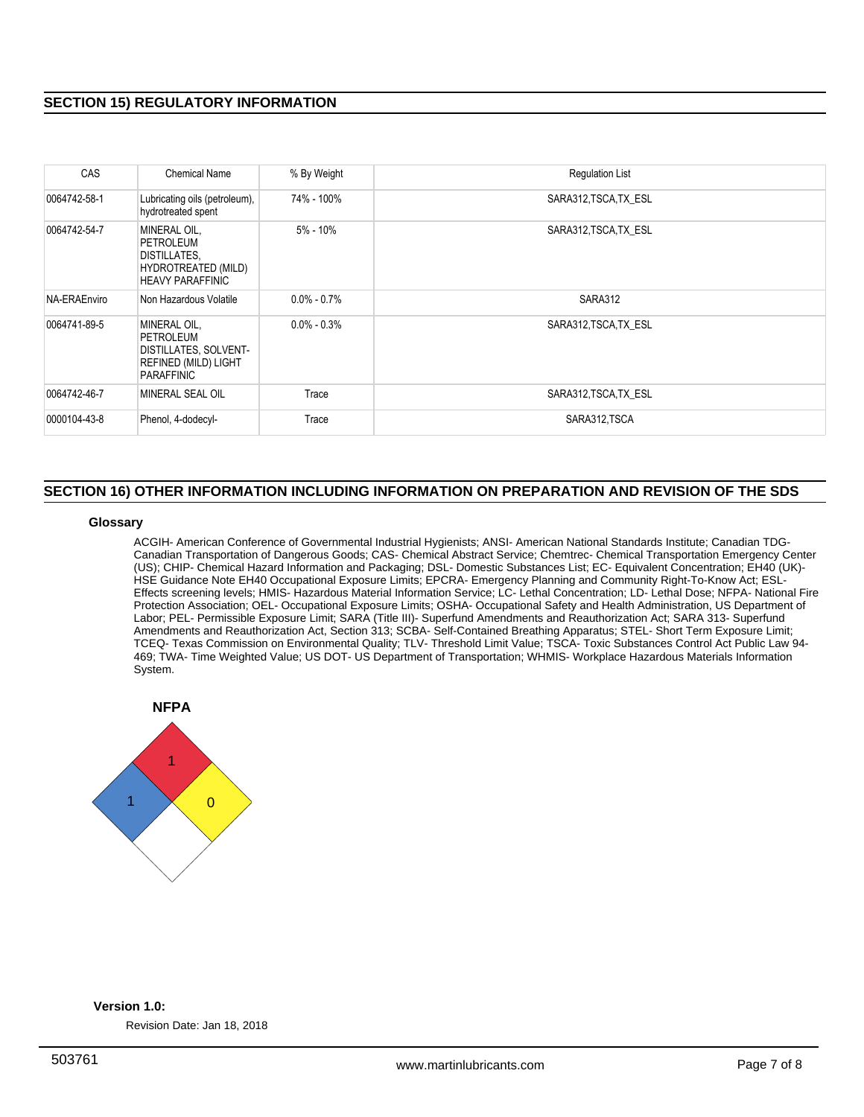# **SECTION 15) REGULATORY INFORMATION**

| CAS          | Chemical Name                                                                                          | % By Weight     | <b>Regulation List</b> |
|--------------|--------------------------------------------------------------------------------------------------------|-----------------|------------------------|
| 0064742-58-1 | Lubricating oils (petroleum),<br>hydrotreated spent                                                    | 74% - 100%      | SARA312, TSCA, TX ESL  |
| 0064742-54-7 | MINERAL OIL,<br>PETROLEUM<br><b>DISTILLATES,</b><br>HYDROTREATED (MILD)<br><b>HEAVY PARAFFINIC</b>     | 5% - 10%        | SARA312, TSCA, TX ESL  |
| NA-ERAEnviro | Non Hazardous Volatile                                                                                 | $0.0\% - 0.7\%$ | SARA312                |
| 0064741-89-5 | MINERAL OIL.<br>PETROLEUM<br><b>DISTILLATES, SOLVENT-</b><br>REFINED (MILD) LIGHT<br><b>PARAFFINIC</b> | $0.0\% - 0.3\%$ | SARA312, TSCA, TX ESL  |
| 0064742-46-7 | MINERAL SEAL OIL                                                                                       | Trace           | SARA312, TSCA, TX ESL  |
| 0000104-43-8 | Phenol, 4-dodecyl-                                                                                     | Trace           | SARA312, TSCA          |

# **SECTION 16) OTHER INFORMATION INCLUDING INFORMATION ON PREPARATION AND REVISION OF THE SDS**

## **Glossary**

ACGIH- American Conference of Governmental Industrial Hygienists; ANSI- American National Standards Institute; Canadian TDG-Canadian Transportation of Dangerous Goods; CAS- Chemical Abstract Service; Chemtrec- Chemical Transportation Emergency Center (US); CHIP- Chemical Hazard Information and Packaging; DSL- Domestic Substances List; EC- Equivalent Concentration; EH40 (UK)- HSE Guidance Note EH40 Occupational Exposure Limits; EPCRA- Emergency Planning and Community Right-To-Know Act; ESL-Effects screening levels; HMIS- Hazardous Material Information Service; LC- Lethal Concentration; LD- Lethal Dose; NFPA- National Fire Protection Association; OEL- Occupational Exposure Limits; OSHA- Occupational Safety and Health Administration, US Department of Labor; PEL- Permissible Exposure Limit; SARA (Title III)- Superfund Amendments and Reauthorization Act; SARA 313- Superfund Amendments and Reauthorization Act, Section 313; SCBA- Self-Contained Breathing Apparatus; STEL- Short Term Exposure Limit; TCEQ- Texas Commission on Environmental Quality; TLV- Threshold Limit Value; TSCA- Toxic Substances Control Act Public Law 94- 469; TWA- Time Weighted Value; US DOT- US Department of Transportation; WHMIS- Workplace Hazardous Materials Information System.



# **Version 1.0:**

Revision Date: Jan 18, 2018